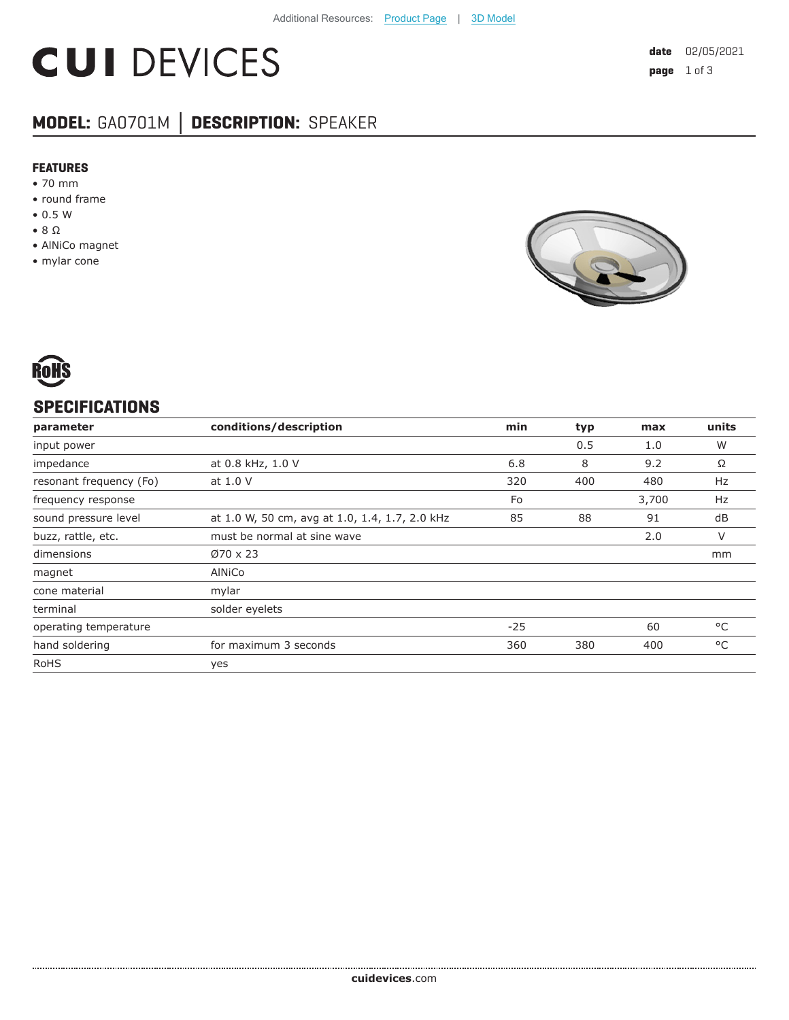# **CUI DEVICES**

## **MODEL:** GA0701M **│ DESCRIPTION:** SPEAKER

#### **FEATURES**

- 70 mm
- round frame
- 0.5 W
- 8 Ω
- AlNiCo magnet
- mylar cone





#### **SPECIFICATIONS**

| parameter               | conditions/description                         | min   | typ | max   | units |
|-------------------------|------------------------------------------------|-------|-----|-------|-------|
| input power             |                                                |       | 0.5 | 1.0   | W     |
| impedance               | at 0.8 kHz, 1.0 V                              | 6.8   | 8   | 9.2   | Ω     |
| resonant frequency (Fo) | at 1.0 V                                       | 320   | 400 | 480   | Hz    |
| frequency response      |                                                | Fo    |     | 3,700 | Hz    |
| sound pressure level    | at 1.0 W, 50 cm, avg at 1.0, 1.4, 1.7, 2.0 kHz | 85    | 88  | 91    | dB    |
| buzz, rattle, etc.      | must be normal at sine wave                    |       |     | 2.0   | V     |
| dimensions              | $Ø70 \times 23$                                |       |     |       | mm    |
| magnet                  | AINiCo                                         |       |     |       |       |
| cone material           | mylar                                          |       |     |       |       |
| terminal                | solder eyelets                                 |       |     |       |       |
| operating temperature   |                                                | $-25$ |     | 60    | °C    |
| hand soldering          | for maximum 3 seconds                          | 360   | 380 | 400   | °C    |
| <b>RoHS</b>             | yes                                            |       |     |       |       |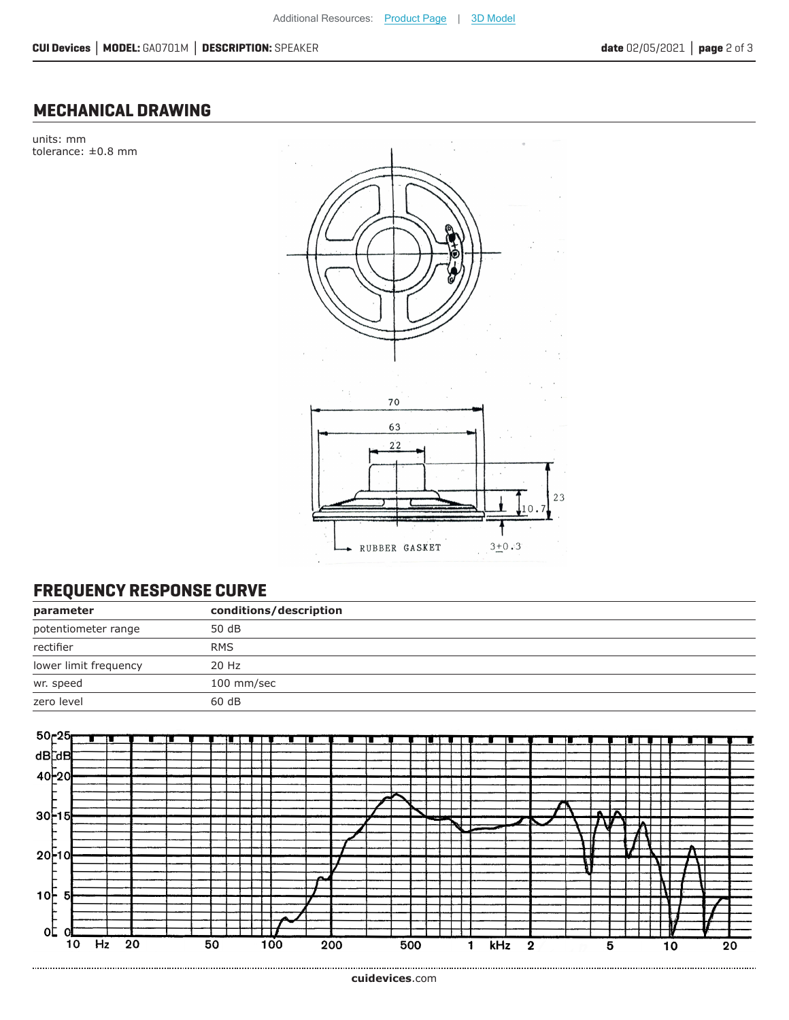#### **MECHANICAL DRAWING**

units: mm tolerance: ±0.8 mm



### **FREQUENCY RESPONSE CURVE**

| parameter             | conditions/description |
|-----------------------|------------------------|
| potentiometer range   | 50 dB                  |
| rectifier             | <b>RMS</b>             |
| lower limit frequency | 20 Hz                  |
| wr. speed             | 100 mm/sec             |
| zero level            | 60 dB                  |
|                       |                        |